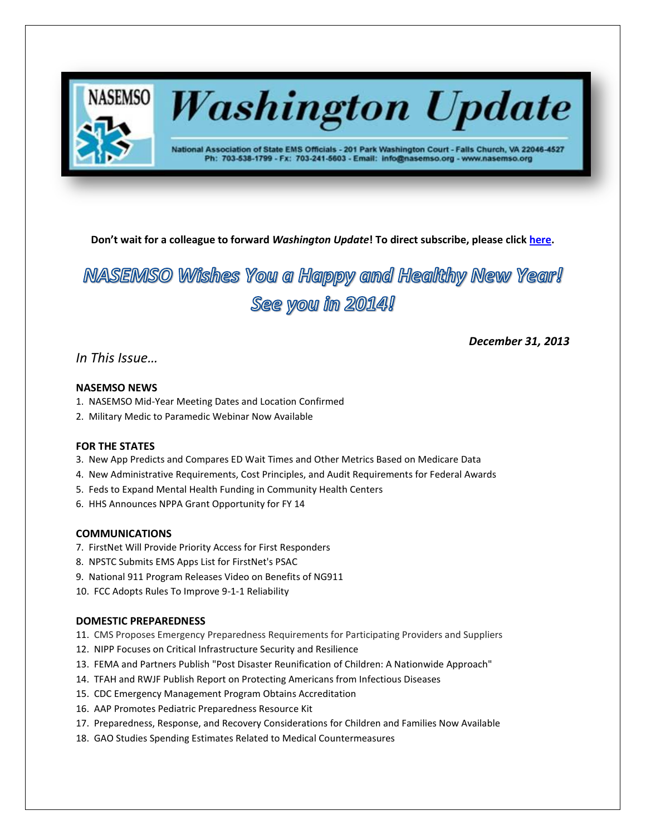

# **Washington Update**

National Association of State EMS Officials - 201 Park Washington Court - Falls Church, VA 22046-4527 Ph: 703-538-1799 - Fx: 703-241-5603 - Email: info@nasemso.org - www.nasemso.org

*December 31, 2013*

**Don't wait for a colleague to forward** *Washington Update***! To direct subscribe, please click [here.](http://lists.nasemso.org/read/all_forums/subscribe?name=wu%20)**

# NASEMSO Wishes You a Happy and Healthy New Year! See you in 2014!

# *In This Issue…*

# **NASEMSO NEWS**

- 1. NASEMSO Mid-Year Meeting Dates and Location Confirmed
- 2. Military Medic to Paramedic Webinar Now Available

# **FOR THE STATES**

- 3. New App Predicts and Compares ED Wait Times and Other Metrics Based on Medicare Data
- 4. New Administrative Requirements, Cost Principles, and Audit Requirements for Federal Awards
- 5. Feds to Expand Mental Health Funding in Community Health Centers
- 6. HHS Announces NPPA Grant Opportunity for FY 14

#### **COMMUNICATIONS**

- 7. FirstNet Will Provide Priority Access for First Responders
- 8. NPSTC Submits EMS Apps List for FirstNet's PSAC
- 9. National 911 Program Releases Video on Benefits of NG911
- 10. FCC Adopts Rules To Improve 9-1-1 Reliability

#### **DOMESTIC PREPAREDNESS**

- 11. CMS Proposes Emergency Preparedness Requirements for Participating Providers and Suppliers
- 12. NIPP Focuses on Critical Infrastructure Security and Resilience
- 13. FEMA and Partners Publish "Post Disaster Reunification of Children: A Nationwide Approach"
- 14. TFAH and RWJF Publish Report on Protecting Americans from Infectious Diseases
- 15. CDC Emergency Management Program Obtains Accreditation
- 16. AAP Promotes Pediatric Preparedness Resource Kit
- 17. Preparedness, Response, and Recovery Considerations for Children and Families Now Available
- 18. GAO Studies Spending Estimates Related to Medical Countermeasures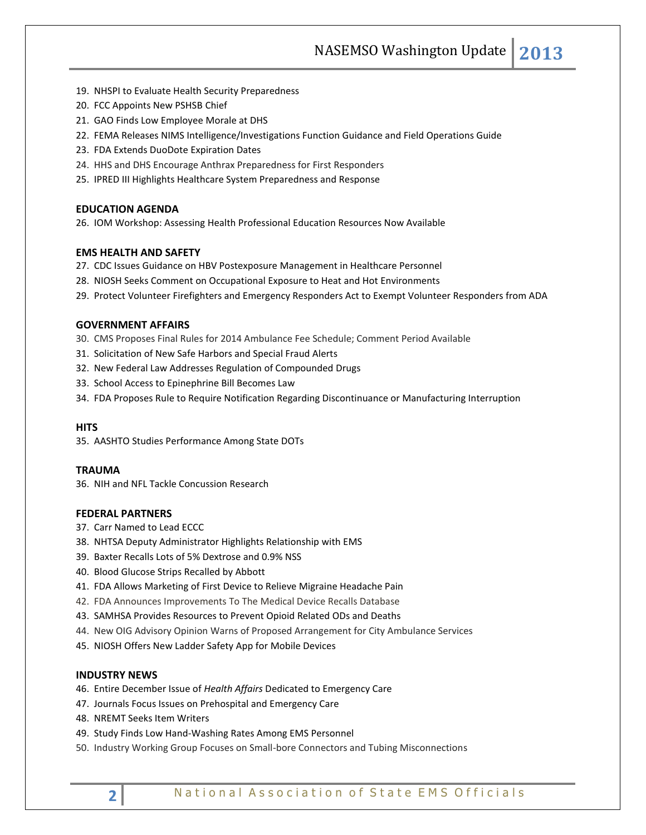- 19. NHSPI to Evaluate Health Security Preparedness
- 20. FCC Appoints New PSHSB Chief
- 21. GAO Finds Low Employee Morale at DHS
- 22. FEMA Releases NIMS Intelligence/Investigations Function Guidance and Field Operations Guide
- 23. FDA Extends DuoDote Expiration Dates
- 24. HHS and DHS Encourage Anthrax Preparedness for First Responders
- 25. IPRED III Highlights Healthcare System Preparedness and Response

#### **EDUCATION AGENDA**

26. IOM Workshop: Assessing Health Professional Education Resources Now Available

#### **EMS HEALTH AND SAFETY**

- 27. CDC Issues Guidance on HBV Postexposure Management in Healthcare Personnel
- 28. NIOSH Seeks Comment on Occupational Exposure to Heat and Hot Environments
- 29. Protect Volunteer Firefighters and Emergency Responders Act to Exempt Volunteer Responders from ADA

#### **GOVERNMENT AFFAIRS**

- 30. CMS Proposes Final Rules for 2014 Ambulance Fee Schedule; Comment Period Available
- 31. Solicitation of New Safe Harbors and Special Fraud Alerts
- 32. New Federal Law Addresses Regulation of Compounded Drugs
- 33. School Access to Epinephrine Bill Becomes Law
- 34. FDA Proposes Rule to Require Notification Regarding Discontinuance or Manufacturing Interruption

#### **HITS**

35. AASHTO Studies Performance Among State DOTs

#### **TRAUMA**

36. NIH and NFL Tackle Concussion Research

#### **FEDERAL PARTNERS**

- 37. Carr Named to Lead ECCC
- 38. NHTSA Deputy Administrator Highlights Relationship with EMS
- 39. Baxter Recalls Lots of 5% Dextrose and 0.9% NSS
- 40. Blood Glucose Strips Recalled by Abbott
- 41. FDA Allows Marketing of First Device to Relieve Migraine Headache Pain
- 42. FDA Announces Improvements To The Medical Device Recalls Database
- 43. SAMHSA Provides Resources to Prevent Opioid Related ODs and Deaths
- 44. New OIG Advisory Opinion Warns of Proposed Arrangement for City Ambulance Services
- 45. NIOSH Offers New Ladder Safety App for Mobile Devices

#### **INDUSTRY NEWS**

- 46. Entire December Issue of *Health Affairs* Dedicated to Emergency Care
- 47. Journals Focus Issues on Prehospital and Emergency Care
- 48. NREMT Seeks Item Writers
- 49. Study Finds Low Hand-Washing Rates Among EMS Personnel
- 50. Industry Working Group Focuses on Small-bore Connectors and Tubing Misconnections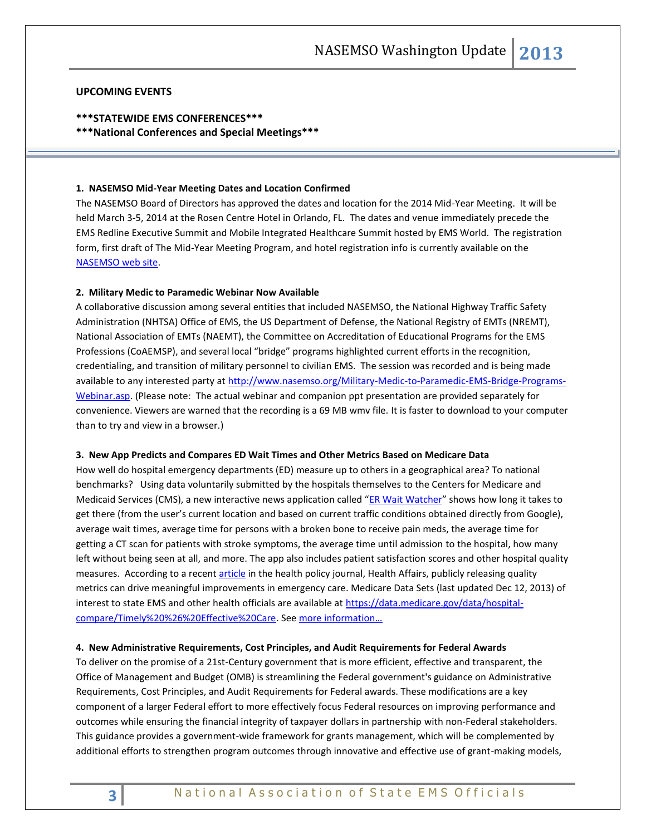#### **UPCOMING EVENTS**

#### **\*\*\*STATEWIDE EMS CONFERENCES\*\*\***

**\*\*\*National Conferences and Special Meetings\*\*\***

#### **1. NASEMSO Mid-Year Meeting Dates and Location Confirmed**

The NASEMSO Board of Directors has approved the dates and location for the 2014 Mid-Year Meeting. It will be held March 3-5, 2014 at the Rosen Centre Hotel in Orlando, FL. The dates and venue immediately precede the EMS Redline Executive Summit and Mobile Integrated Healthcare Summit hosted by EMS World. The registration form, first draft of The Mid-Year Meeting Program, and hotel registration info is currently available on the [NASEMSO web site.](http://www.nasemso.org/)

#### **2. Military Medic to Paramedic Webinar Now Available**

A collaborative discussion among several entities that included NASEMSO, the National Highway Traffic Safety Administration (NHTSA) Office of EMS, the US Department of Defense, the National Registry of EMTs (NREMT), National Association of EMTs (NAEMT), the Committee on Accreditation of Educational Programs for the EMS Professions (CoAEMSP), and several local "bridge" programs highlighted current efforts in the recognition, credentialing, and transition of military personnel to civilian EMS. The session was recorded and is being made available to any interested party at [http://www.nasemso.org/Military-Medic-to-Paramedic-EMS-Bridge-Programs-](http://www.nasemso.org/Military-Medic-to-Paramedic-EMS-Bridge-Programs-Webinar.asp)[Webinar.asp.](http://www.nasemso.org/Military-Medic-to-Paramedic-EMS-Bridge-Programs-Webinar.asp) (Please note: The actual webinar and companion ppt presentation are provided separately for convenience. Viewers are warned that the recording is a 69 MB wmv file. It is faster to download to your computer than to try and view in a browser.)

#### **3. New App Predicts and Compares ED Wait Times and Other Metrics Based on Medicare Data**

How well do hospital emergency departments (ED) measure up to others in a geographical area? To national benchmarks? Using data voluntarily submitted by the hospitals themselves to the Centers for Medicare and Medicaid Services (CMS), a new interactive news application called "[ER Wait Watcher](http://projects.propublica.org/emergency/)" shows how long it takes to get there (from the user's current location and based on current traffic conditions obtained directly from Google), average wait times, average time for persons with a broken bone to receive pain meds, the average time for getting a CT scan for patients with stroke symptoms, the average time until admission to the hospital, how many left without being seen at all, and more. The app also includes patient satisfaction scores and other hospital quality measures. According to a recen[t article](http://www.ncbi.nlm.nih.gov/pubmed/24301396) in the health policy journal, Health Affairs, publicly releasing quality metrics can drive meaningful improvements in emergency care. Medicare Data Sets (last updated Dec 12, 2013) of interest to state EMS and other health officials are available a[t https://data.medicare.gov/data/hospital](https://data.medicare.gov/data/hospital-compare/Timely%20%26%20Effective%20Care)[compare/Timely%20%26%20Effective%20Care.](https://data.medicare.gov/data/hospital-compare/Timely%20%26%20Effective%20Care) See [more information…](http://www.propublica.org/article/how-long-will-you-wait-at-the-emergency-room)

#### **4. New Administrative Requirements, Cost Principles, and Audit Requirements for Federal Awards**

To deliver on the promise of a 21st-Century government that is more efficient, effective and transparent, the Office of Management and Budget (OMB) is streamlining the Federal government's guidance on Administrative Requirements, Cost Principles, and Audit Requirements for Federal awards. These modifications are a key component of a larger Federal effort to more effectively focus Federal resources on improving performance and outcomes while ensuring the financial integrity of taxpayer dollars in partnership with non-Federal stakeholders. This guidance provides a government-wide framework for grants management, which will be complemented by additional efforts to strengthen program outcomes through innovative and effective use of grant-making models,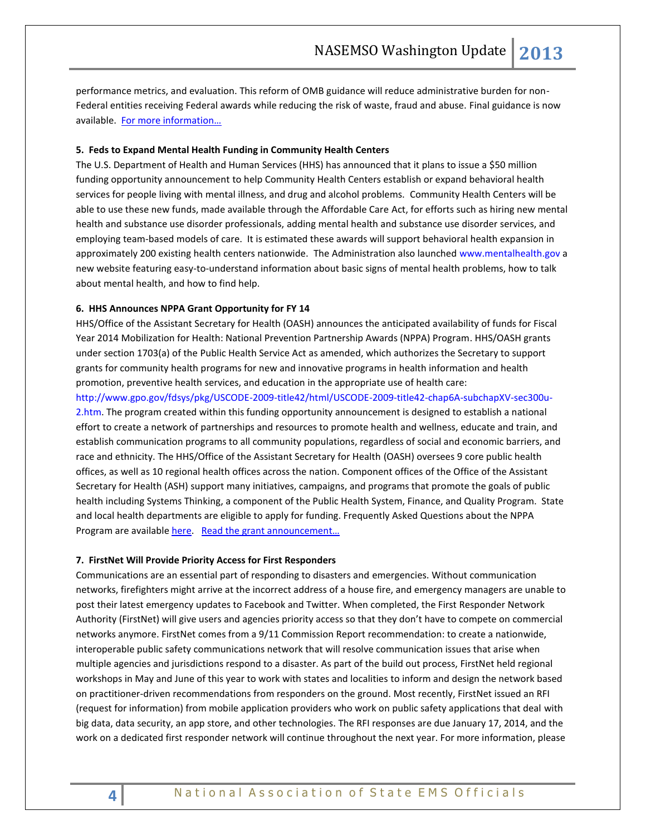performance metrics, and evaluation. This reform of OMB guidance will reduce administrative burden for non-Federal entities receiving Federal awards while reducing the risk of waste, fraud and abuse. Final guidance is now available. For more information...

#### **5. Feds to Expand Mental Health Funding in Community Health Centers**

The U.S. Department of Health and Human Services (HHS) has announced that it plans to issue a \$50 million funding opportunity announcement to help Community Health Centers establish or expand behavioral health services for people living with mental illness, and drug and alcohol problems. Community Health Centers will be able to use these new funds, made available through the Affordable Care Act, for efforts such as hiring new mental health and substance use disorder professionals, adding mental health and substance use disorder services, and employing team-based models of care. It is estimated these awards will support behavioral health expansion in approximately 200 existing health centers nationwide. The Administration also launched [www.mentalhealth.gov](http://www.mentalhealth.gov/) a new website featuring easy-to-understand information about basic signs of mental health problems, how to talk about mental health, and how to find help.

#### **6. HHS Announces NPPA Grant Opportunity for FY 14**

HHS/Office of the Assistant Secretary for Health (OASH) announces the anticipated availability of funds for Fiscal Year 2014 Mobilization for Health: National Prevention Partnership Awards (NPPA) Program. HHS/OASH grants under section 1703(a) of the Public Health Service Act as amended, which authorizes the Secretary to support grants for community health programs for new and innovative programs in health information and health promotion, preventive health services, and education in the appropriate use of health care:

http://www.gpo.gov/fdsys/pkg/USCODE-2009-title42/html/USCODE-2009-title42-chap6A-subchapXV-sec300u-2.htm. The program created within this funding opportunity announcement is designed to establish a national effort to create a network of partnerships and resources to promote health and wellness, educate and train, and establish communication programs to all community populations, regardless of social and economic barriers, and race and ethnicity. The HHS/Office of the Assistant Secretary for Health (OASH) oversees 9 core public health offices, as well as 10 regional health offices across the nation. Component offices of the Office of the Assistant Secretary for Health (ASH) support many initiatives, campaigns, and programs that promote the goals of public health including Systems Thinking, a component of the Public Health System, Finance, and Quality Program. State and local health departments are eligible to apply for funding. Frequently Asked Questions about the NPPA Program are available [here.](http://www.hhs.gov/ash/nppa-faq.html) [Read the grant announcement…](https://www.grantsolutions.gov/gs/preaward/previewPublicAnnouncement.do?id=18814)

#### **7. FirstNet Will Provide Priority Access for First Responders**

Communications are an essential part of responding to disasters and emergencies. Without communication networks, firefighters might arrive at the incorrect address of a house fire, and emergency managers are unable to post their latest emergency updates to Facebook and Twitter. When completed, the First Responder Network Authority (FirstNet) will give users and agencies priority access so that they don't have to compete on commercial networks anymore. FirstNet comes from a 9/11 Commission Report recommendation: to create a nationwide, interoperable public safety communications network that will resolve communication issues that arise when multiple agencies and jurisdictions respond to a disaster. As part of the build out process, FirstNet held regional workshops in May and June of this year to work with states and localities to inform and design the network based on practitioner-driven recommendations from responders on the ground. Most recently, FirstNet issued an RFI (request for information) from mobile application providers who work on public safety applications that deal with big data, data security, an app store, and other technologies. The RFI responses are due January 17, 2014, and the work on a dedicated first responder network will continue throughout the next year. For more information, please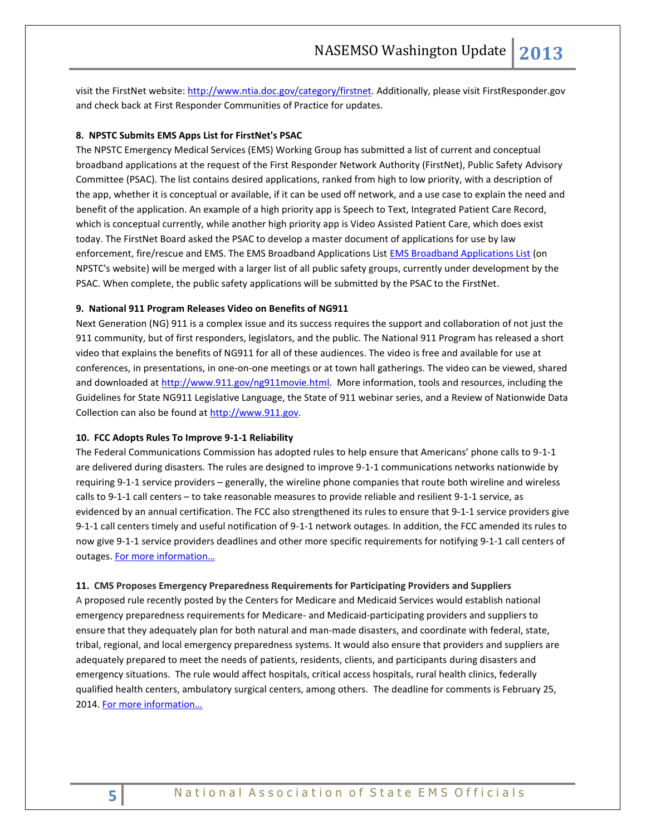visit the FirstNet website: [http://www.ntia.doc.gov/category/firstnet.](http://www.ntia.doc.gov/category/firstnet) Additionally, please visit FirstResponder.gov and check back at First Responder Communities of Practice for updates.

#### **8. NPSTC Submits EMS Apps List for FirstNet's PSAC**

The NPSTC Emergency Medical Services (EMS) Working Group has submitted a list of current and conceptual broadband applications at the request of the First Responder Network Authority (FirstNet), Public Safety Advisory Committee (PSAC). The list contains desired applications, ranked from high to low priority, with a description of the app, whether it is conceptual or available, if it can be used off network, and a use case to explain the need and benefit of the application. An example of a high priority app is Speech to Text, Integrated Patient Care Record, which is conceptual currently, while another high priority app is Video Assisted Patient Care, which does exist today. The FirstNet Board asked the PSAC to develop a master document of applications for use by law enforcement, fire/rescue and EMS. The EMS Broadband Applications Lis[t EMS Broadband Applications List](http://www.npstc.org/) (on NPSTC's website) will be merged with a larger list of all public safety groups, currently under development by the PSAC. When complete, the public safety applications will be submitted by the PSAC to the FirstNet.

#### **9. National 911 Program Releases Video on Benefits of NG911**

Next Generation (NG) 911 is a complex issue and its success requires the support and collaboration of not just the 911 community, but of first responders, legislators, and the public. The National 911 Program has released a short video that explains the benefits of NG911 for all of these audiences. The video is free and available for use at conferences, in presentations, in one-on-one meetings or at town hall gatherings. The video can be viewed, shared and downloaded at [http://www.911.gov/ng911movie.html.](http://www.911.gov/ng911movie.html) More information, tools and resources, including the Guidelines for State NG911 Legislative Language, the State of 911 webinar series, and a Review of Nationwide Data Collection can also be found at [http://www.911.gov.](http://www.911.gov/)

#### **10. FCC Adopts Rules To Improve 9-1-1 Reliability**

The Federal Communications Commission has adopted rules to help ensure that Americans' phone calls to 9-1-1 are delivered during disasters. The rules are designed to improve 9-1-1 communications networks nationwide by requiring 9-1-1 service providers – generally, the wireline phone companies that route both wireline and wireless calls to 9-1-1 call centers – to take reasonable measures to provide reliable and resilient 9-1-1 service, as evidenced by an annual certification. The FCC also strengthened its rules to ensure that 9-1-1 service providers give 9-1-1 call centers timely and useful notification of 9-1-1 network outages. In addition, the FCC amended its rules to now give 9-1-1 service providers deadlines and other more specific requirements for notifying 9-1-1 call centers of outages. For more information...

#### **11. CMS Proposes Emergency Preparedness Requirements for Participating Providers and Suppliers**

A proposed rule recently posted by the Centers for Medicare and Medicaid Services would establish national emergency preparedness requirements for Medicare- and Medicaid-participating providers and suppliers to ensure that they adequately plan for both natural and man-made disasters, and coordinate with federal, state, tribal, regional, and local emergency preparedness systems. It would also ensure that providers and suppliers are adequately prepared to meet the needs of patients, residents, clients, and participants during disasters and emergency situations. The rule would affect hospitals, critical access hospitals, rural health clinics, federally qualified health centers, ambulatory surgical centers, among others. The deadline for comments is February 25, 2014. [For more information…](http://www.gpo.gov/fdsys/pkg/FR-2013-12-27/pdf/2013-30724.pdf)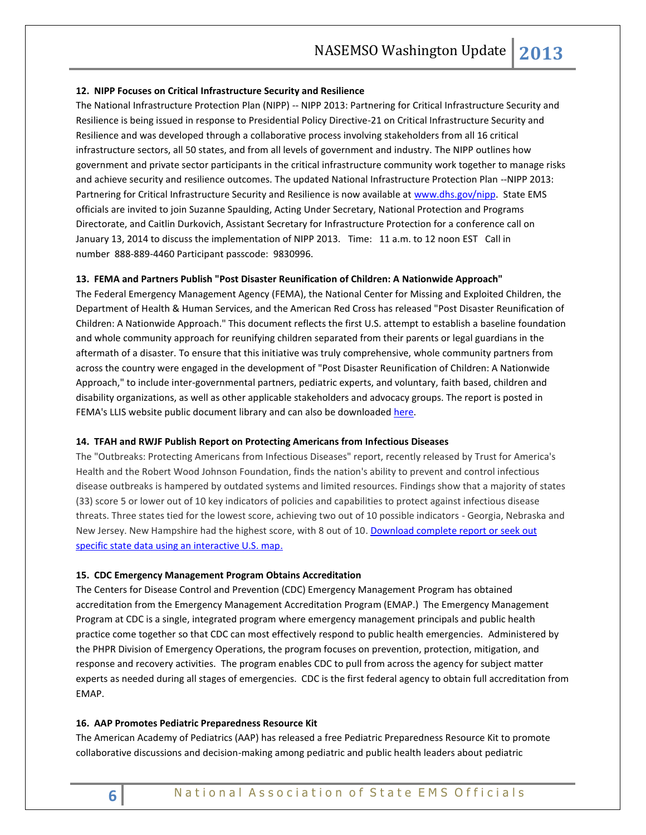#### **12. NIPP Focuses on Critical Infrastructure Security and Resilience**

The National Infrastructure Protection Plan (NIPP) -- NIPP 2013: Partnering for Critical Infrastructure Security and Resilience is being issued in response to Presidential Policy Directive-21 on Critical Infrastructure Security and Resilience and was developed through a collaborative process involving stakeholders from all 16 critical infrastructure sectors, all 50 states, and from all levels of government and industry. The NIPP outlines how government and private sector participants in the critical infrastructure community work together to manage risks and achieve security and resilience outcomes. The updated National Infrastructure Protection Plan --NIPP 2013: Partnering for Critical Infrastructure Security and Resilience is now available a[t www.dhs.gov/nipp.](http://www.dhs.gov/nipp) State EMS officials are invited to join Suzanne Spaulding, Acting Under Secretary, National Protection and Programs Directorate, and Caitlin Durkovich, Assistant Secretary for Infrastructure Protection for a conference call on January 13, 2014 to discuss the implementation of NIPP 2013. Time: 11 a.m. to 12 noon EST Call in number 888-889-4460 Participant passcode: 9830996.

#### **13. FEMA and Partners Publish "Post Disaster Reunification of Children: A Nationwide Approach"**

The Federal Emergency Management Agency (FEMA), the National Center for Missing and Exploited Children, the Department of Health & Human Services, and the American Red Cross has released "Post Disaster Reunification of Children: A Nationwide Approach." This document reflects the first U.S. attempt to establish a baseline foundation and whole community approach for reunifying children separated from their parents or legal guardians in the aftermath of a disaster. To ensure that this initiative was truly comprehensive, whole community partners from across the country were engaged in the development of "Post Disaster Reunification of Children: A Nationwide Approach," to include inter-governmental partners, pediatric experts, and voluntary, faith based, children and disability organizations, as well as other applicable stakeholders and advocacy groups. The report is posted in FEMA's [LLIS website public document library](https://www.llis.dhs.gov/content/post-disaster-reunification-children-nationwide-approach) and can also be downloade[d here.](http://www.nasemso.org/documents/Post-Disaster-Reunification-of-Children-A-Nationwide-Approach-26Nov2013.pdf)

#### **14. TFAH and RWJF Publish Report on Protecting Americans from Infectious Diseases**

The "Outbreaks: Protecting Americans from Infectious Diseases" report, recently released by Trust for America's Health and the Robert Wood Johnson Foundation, finds the nation's ability to prevent and control infectious disease outbreaks is hampered by outdated systems and limited resources. Findings show that a majority of states (33) score 5 or lower out of 10 key indicators of policies and capabilities to protect against infectious disease threats. Three states tied for the lowest score, achieving two out of 10 possible indicators - Georgia, Nebraska and New Jersey. New Hampshire had the highest score, with 8 out of 10[. Download complete report or seek out](http://healthyamericans.org/reports/outbreaks2013/)  [specific state data using an interactive U.S. map.](http://healthyamericans.org/reports/outbreaks2013/)

#### **15. CDC Emergency Management Program Obtains Accreditation**

The Centers for Disease Control and Prevention (CDC) Emergency Management Program has obtained accreditation from the Emergency Management Accreditation Program (EMAP.) The Emergency Management Program at CDC is a single, integrated program where emergency management principals and public health practice come together so that CDC can most effectively respond to public health emergencies. Administered by the PHPR Division of Emergency Operations, the program focuses on prevention, protection, mitigation, and response and recovery activities. The program enables CDC to pull from across the agency for subject matter experts as needed during all stages of emergencies. CDC is the first federal agency to obtain full accreditation from EMAP.

#### **16. AAP Promotes Pediatric Preparedness Resource Kit**

The American Academy of Pediatrics (AAP) has released a free Pediatric Preparedness Resource Kit to promote collaborative discussions and decision-making among pediatric and public health leaders about pediatric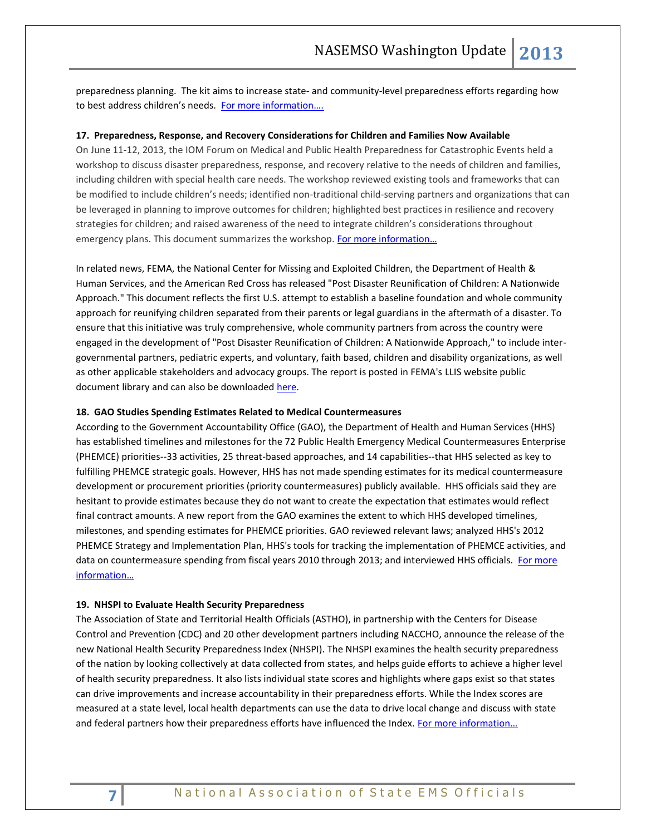preparedness planning. The kit aims to increase state- and community-level preparedness efforts regarding how to best address children's needs. [For more information….](http://www.nasemso.org/Projects/DomesticPreparedness/documents/PedPreparednessKit.pdf)

#### **17. Preparedness, Response, and Recovery Considerations for Children and Families Now Available**

On June 11-12, 2013, the IOM Forum on Medical and Public Health Preparedness for Catastrophic Events held a workshop to discuss disaster preparedness, response, and recovery relative to the needs of children and families, including children with special health care needs. The workshop reviewed existing tools and frameworks that can be modified to include children's needs; identified non-traditional child-serving partners and organizations that can be leveraged in planning to improve outcomes for children; highlighted best practices in resilience and recovery strategies for children; and raised awareness of the need to integrate children's considerations throughout emergency plans. This document summarizes the workshop. [For more information…](http://iom.edu/Reports/2013/Preparedness-Response-and-Recovery-Considerations-for-Children-and-Families.aspx)

In related news, FEMA, the National Center for Missing and Exploited Children, the Department of Health & Human Services, and the American Red Cross has released "Post Disaster Reunification of Children: A Nationwide Approach." This document reflects the first U.S. attempt to establish a baseline foundation and whole community approach for reunifying children separated from their parents or legal guardians in the aftermath of a disaster. To ensure that this initiative was truly comprehensive, whole community partners from across the country were engaged in the development of "Post Disaster Reunification of Children: A Nationwide Approach," to include intergovernmental partners, pediatric experts, and voluntary, faith based, children and disability organizations, as well as other applicable stakeholders and advocacy groups. The report is posted in FEMA's [LLIS website public](https://www.llis.dhs.gov/content/post-disaster-reunification-children-nationwide-approach)  [document library](https://www.llis.dhs.gov/content/post-disaster-reunification-children-nationwide-approach) and can also be downloade[d here.](http://www.nasemso.org/documents/Post-Disaster-Reunification-of-Children-A-Nationwide-Approach-26Nov2013.pdf)

#### **18. GAO Studies Spending Estimates Related to Medical Countermeasures**

According to the Government Accountability Office (GAO), the Department of Health and Human Services (HHS) has established timelines and milestones for the 72 Public Health Emergency Medical Countermeasures Enterprise (PHEMCE) priorities--33 activities, 25 threat-based approaches, and 14 capabilities--that HHS selected as key to fulfilling PHEMCE strategic goals. However, HHS has not made spending estimates for its medical countermeasure development or procurement priorities (priority countermeasures) publicly available. HHS officials said they are hesitant to provide estimates because they do not want to create the expectation that estimates would reflect final contract amounts. A new report from the GAO examines the extent to which HHS developed timelines, milestones, and spending estimates for PHEMCE priorities. GAO reviewed relevant laws; analyzed HHS's 2012 PHEMCE Strategy and Implementation Plan, HHS's tools for tracking the implementation of PHEMCE activities, and data on countermeasure spending from fiscal years 2010 through 2013; and interviewed HHS officials. For more [information…](http://www.gao.gov/products/GAO-14-90)

#### **19. NHSPI to Evaluate Health Security Preparedness**

The Association of State and Territorial Health Officials (ASTHO), in partnership with the Centers for Disease Control and Prevention (CDC) and 20 other development partners including NACCHO, announce the release of the new National Health Security Preparedness Index (NHSPI). The NHSPI examines the health security preparedness of the nation by looking collectively at data collected from states, and helps guide efforts to achieve a higher level of health security preparedness. It also lists individual state scores and highlights where gaps exist so that states can drive improvements and increase accountability in their preparedness efforts. While the Index scores are measured at a state level, local health departments can use the data to drive local change and discuss with state and federal partners how their preparedness efforts have influenced the Index. For more information...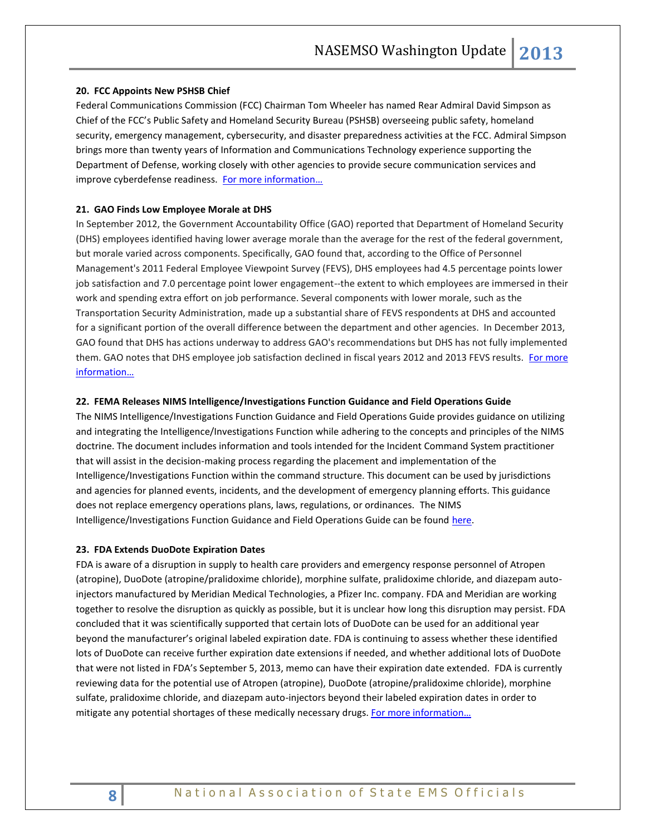#### **20. FCC Appoints New PSHSB Chief**

Federal Communications Commission (FCC) Chairman Tom Wheeler has named Rear Admiral David Simpson as Chief of the FCC's Public Safety and Homeland Security Bureau (PSHSB) overseeing public safety, homeland security, emergency management, cybersecurity, and disaster preparedness activities at the FCC. Admiral Simpson brings more than twenty years of Information and Communications Technology experience supporting the Department of Defense, working closely with other agencies to provide secure communication services and improve cyberdefense readiness. For more information...

#### **21. GAO Finds Low Employee Morale at DHS**

In September 2012, the Government Accountability Office (GAO) reported that Department of Homeland Security (DHS) employees identified having lower average morale than the average for the rest of the federal government, but morale varied across components. Specifically, GAO found that, according to the Office of Personnel Management's 2011 Federal Employee Viewpoint Survey (FEVS), DHS employees had 4.5 percentage points lower job satisfaction and 7.0 percentage point lower engagement--the extent to which employees are immersed in their work and spending extra effort on job performance. Several components with lower morale, such as the Transportation Security Administration, made up a substantial share of FEVS respondents at DHS and accounted for a significant portion of the overall difference between the department and other agencies. In December 2013, GAO found that DHS has actions underway to address GAO's recommendations but DHS has not fully implemented them. GAO notes that DHS employee job satisfaction declined in fiscal years 2012 and 2013 FEVS results. For more [information…](http://www.gao.gov/products/GAO-14-228T)

#### **22. FEMA Releases NIMS Intelligence/Investigations Function Guidance and Field Operations Guide**

The NIMS Intelligence/Investigations Function Guidance and Field Operations Guide provides guidance on utilizing and integrating the Intelligence/Investigations Function while adhering to the concepts and principles of the NIMS doctrine. The document includes information and tools intended for the Incident Command System practitioner that will assist in the decision-making process regarding the placement and implementation of the Intelligence/Investigations Function within the command structure. This document can be used by jurisdictions and agencies for planned events, incidents, and the development of emergency planning efforts. This guidance does not replace emergency operations plans, laws, regulations, or ordinances. The NIMS Intelligence/Investigations Function Guidance and Field Operations Guide can be found [here.](http://www.fema.gov/related-guides-annexes-and-documents)

#### **23. FDA Extends DuoDote Expiration Dates**

FDA is aware of a disruption in supply to health care providers and emergency response personnel of Atropen (atropine), DuoDote (atropine/pralidoxime chloride), morphine sulfate, pralidoxime chloride, and diazepam autoinjectors manufactured by Meridian Medical Technologies, a Pfizer Inc. company. FDA and Meridian are working together to resolve the disruption as quickly as possible, but it is unclear how long this disruption may persist. FDA concluded that it was scientifically supported that certain lots of DuoDote can be used for an additional year beyond the manufacturer's original labeled expiration date. FDA is continuing to assess whether these identified lots of DuoDote can receive further expiration date extensions if needed, and whether additional lots of DuoDote that were not listed in FDA's September 5, 2013, memo can have their expiration date extended. FDA is currently reviewing data for the potential use of Atropen (atropine), DuoDote (atropine/pralidoxime chloride), morphine sulfate, pralidoxime chloride, and diazepam auto-injectors beyond their labeled expiration dates in order to mitigate any potential shortages of these medically necessary drugs. For more information...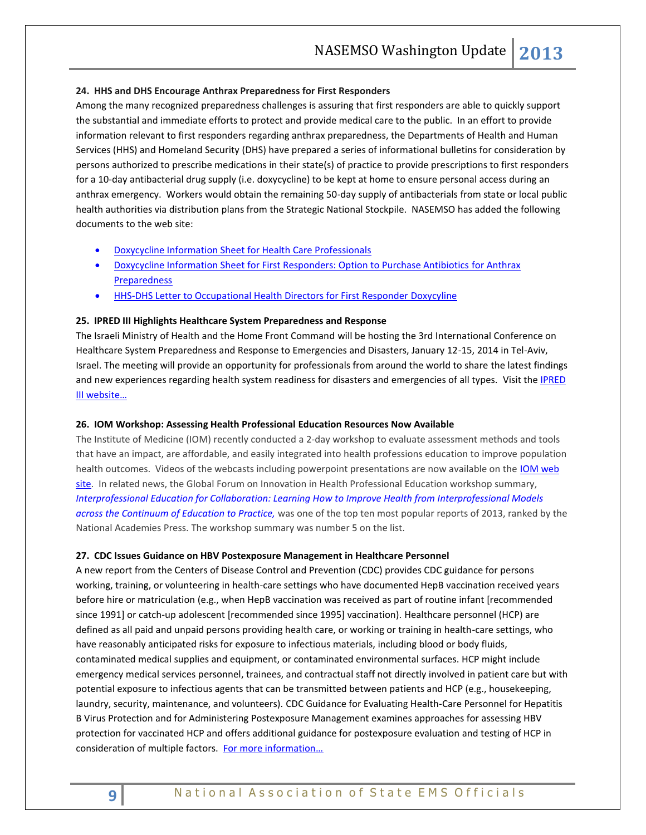#### **24. HHS and DHS Encourage Anthrax Preparedness for First Responders**

Among the many recognized preparedness challenges is assuring that first responders are able to quickly support the substantial and immediate efforts to protect and provide medical care to the public. In an effort to provide information relevant to first responders regarding anthrax preparedness, the Departments of Health and Human Services (HHS) and Homeland Security (DHS) have prepared a series of informational bulletins for consideration by persons authorized to prescribe medications in their state(s) of practice to provide prescriptions to first responders for a 10-day antibacterial drug supply (i.e. doxycycline) to be kept at home to ensure personal access during an anthrax emergency. Workers would obtain the remaining 50-day supply of antibacterials from state or local public health authorities via distribution plans from the Strategic National Stockpile. NASEMSO has added the following documents to the web site:

- [Doxycycline Information Sheet for Health Care Professionals](http://www.nasemso.org/Projects/DomesticPreparedness/documents/Doxy-info-sheet-for-first-responders.pdf)
- [Doxycycline Information Sheet for First Responders: Option to Purchase Antibiotics](http://www.nasemso.org/Projects/DomesticPreparedness/documents/Doxy-info-sheet-for-HCPs.pdf) for Anthrax **[Preparedness](http://www.nasemso.org/Projects/DomesticPreparedness/documents/Doxy-info-sheet-for-HCPs.pdf)**
- **[HHS-DHS Letter to Occupational Health Directors for First Responder](http://www.nasemso.org/Projects/DomesticPreparedness/documents/HHS-DHS-Letter-to-Occupational-Health-Directors-for-First-Responder-Doxycycline.pdf) Doxycyline**

#### **25. IPRED III Highlights Healthcare System Preparedness and Response**

The Israeli Ministry of Health and the Home Front Command will be hosting the 3rd International Conference on Healthcare System Preparedness and Response to Emergencies and Disasters, January 12-15, 2014 in Tel-Aviv, Israel. The meeting will provide an opportunity for professionals from around the world to share the latest findings and new experiences regarding health system readiness for disasters and emergencies of all types. Visit the IPRED [III website…](https://event.pwizard.com/IPRED3/index.py?)

#### **26. IOM Workshop: Assessing Health Professional Education Resources Now Available**

The Institute of Medicine (IOM) recently conducted a 2-day workshop to evaluate assessment methods and tools that have an impact, are affordable, and easily integrated into health professions education to improve population health outcomes. Videos of the webcasts including powerpoint presentations are now available on the IOM web [site.](http://www.iom.edu/Activities/Global/InnovationHealthProfEducation/2013-OCT-09/Resources.aspx) In related news, the Global Forum on Innovation in Health Professional Education workshop summary, *[Interprofessional Education for Collaboration: Learning How to Improve Health from Interprofessional Models](http://click.newsletters.nas.edu/?qs=5aca4e7e06fbf114539ed08bb80e056b0137932e269972894bc7a8b636868b1045de414997ebea84)  [across the Continuum of Education to Practice,](http://click.newsletters.nas.edu/?qs=5aca4e7e06fbf114539ed08bb80e056b0137932e269972894bc7a8b636868b1045de414997ebea84)* was one of the top ten most popular reports of 2013, ranked by the National Academies Press. The workshop summary was number 5 on the list.

#### **27. CDC Issues Guidance on HBV Postexposure Management in Healthcare Personnel**

A new report from the Centers of Disease Control and Prevention (CDC) provides CDC guidance for persons working, training, or volunteering in health-care settings who have documented HepB vaccination received years before hire or matriculation (e.g., when HepB vaccination was received as part of routine infant [recommended since 1991] or catch-up adolescent [recommended since 1995] vaccination). Healthcare personnel (HCP) are defined as all paid and unpaid persons providing health care, or working or training in health-care settings, who have reasonably anticipated risks for exposure to infectious materials, including blood or body fluids, contaminated medical supplies and equipment, or contaminated environmental surfaces. HCP might include emergency medical services personnel, trainees, and contractual staff not directly involved in patient care but with potential exposure to infectious agents that can be transmitted between patients and HCP (e.g., housekeeping, laundry, security, maintenance, and volunteers). CDC Guidance for Evaluating Health-Care Personnel for Hepatitis B Virus Protection and for Administering Postexposure Management examines approaches for assessing HBV protection for vaccinated HCP and offers additional guidance for postexposure evaluation and testing of HCP in consideration of multiple factors. For more information...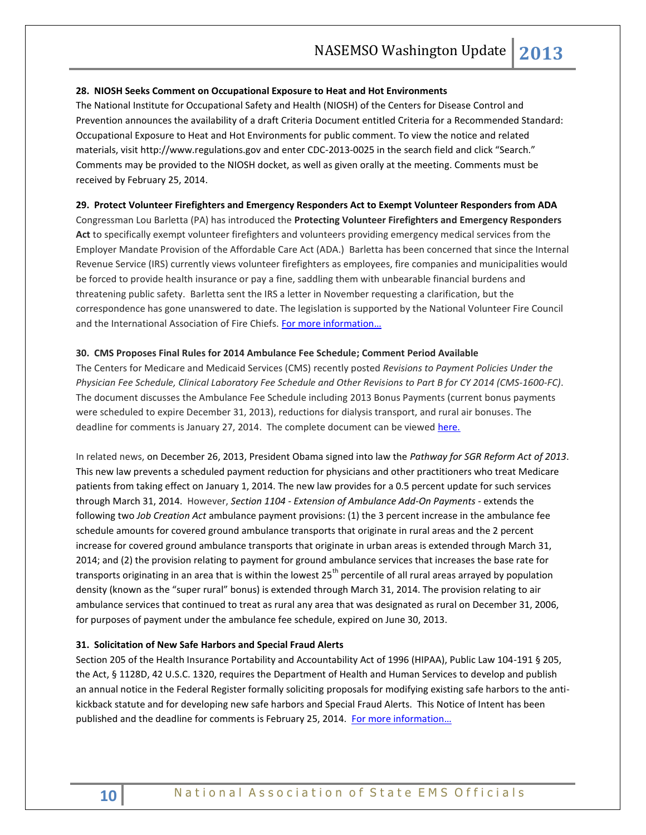#### **28. NIOSH Seeks Comment on Occupational Exposure to Heat and Hot Environments**

The National Institute for Occupational Safety and Health (NIOSH) of the Centers for Disease Control and Prevention announces the availability of a draft Criteria Document entitled Criteria for a Recommended Standard: Occupational Exposure to Heat and Hot Environments for public comment. To view the notice and related materials, visit [http://www.regulations.gov](http://www.regulations.gov/) and enter CDC-2013-0025 in the search field and click "Search." Comments may be provided to the NIOSH docket, as well as given orally at the meeting. Comments must be received by February 25, 2014.

#### **29. Protect Volunteer Firefighters and Emergency Responders Act to Exempt Volunteer Responders from ADA**

Congressman Lou Barletta (PA) has introduced the **Protecting Volunteer Firefighters and Emergency Responders Act** to specifically exempt volunteer firefighters and volunteers providing emergency medical services from the Employer Mandate Provision of the Affordable Care Act (ADA.) Barletta has been concerned that since the Internal Revenue Service (IRS) currently views volunteer firefighters as employees, fire companies and municipalities would be forced to provide health insurance or pay a fine, saddling them with unbearable financial burdens and threatening public safety. Barletta sent the IRS a letter in November requesting a clarification, but the correspondence has gone unanswered to date. The legislation is supported by the National Volunteer Fire Council and the International Association of Fire Chiefs. For more information...

#### **30. CMS Proposes Final Rules for 2014 Ambulance Fee Schedule; Comment Period Available**

The Centers for Medicare and Medicaid Services (CMS) recently posted *Revisions to Payment Policies Under the Physician Fee Schedule, Clinical Laboratory Fee Schedule and Other Revisions to Part B for CY 2014 (CMS-1600-FC)*. The document discusses the Ambulance Fee Schedule including 2013 Bonus Payments (current bonus payments were scheduled to expire December 31, 2013), reductions for dialysis transport, and rural air bonuses. The deadline for comments is January 27, 2014. The complete document can be viewed [here.](https://www.federalregister.gov/articles/2013/12/10/2013-28696/medicare-program-revisions-to-payment-policies-under-the-physician-fee-schedule-clinical-laboratory#h-344)

In related news, on December 26, 2013, President Obama signed into law the *Pathway for SGR Reform Act of 2013*. This new law prevents a scheduled payment reduction for physicians and other practitioners who treat Medicare patients from taking effect on January 1, 2014. The new law provides for a 0.5 percent update for such services through March 31, 2014. However, *Section 1104 - Extension of Ambulance Add-On Payments* - extends the following two *Job Creation Act* ambulance payment provisions: (1) the 3 percent increase in the ambulance fee schedule amounts for covered ground ambulance transports that originate in rural areas and the 2 percent increase for covered ground ambulance transports that originate in urban areas is extended through March 31, 2014; and (2) the provision relating to payment for ground ambulance services that increases the base rate for transports originating in an area that is within the lowest  $25<sup>th</sup>$  percentile of all rural areas arrayed by population density (known as the "super rural" bonus) is extended through March 31, 2014. The provision relating to air ambulance services that continued to treat as rural any area that was designated as rural on December 31, 2006, for purposes of payment under the ambulance fee schedule, expired on June 30, 2013.

#### **31. Solicitation of New Safe Harbors and Special Fraud Alerts**

Section 205 of the Health Insurance Portability and Accountability Act of 1996 (HIPAA), Public Law 104-191 § 205, the Act, § 1128D, 42 U.S.C. 1320, requires the Department of Health and Human Services to develop and publish an annual notice in the Federal Register formally soliciting proposals for modifying existing safe harbors to the antikickback statute and for developing new safe harbors and Special Fraud Alerts. This Notice of Intent has been published and the deadline for comments is February 25, 2014. For more information...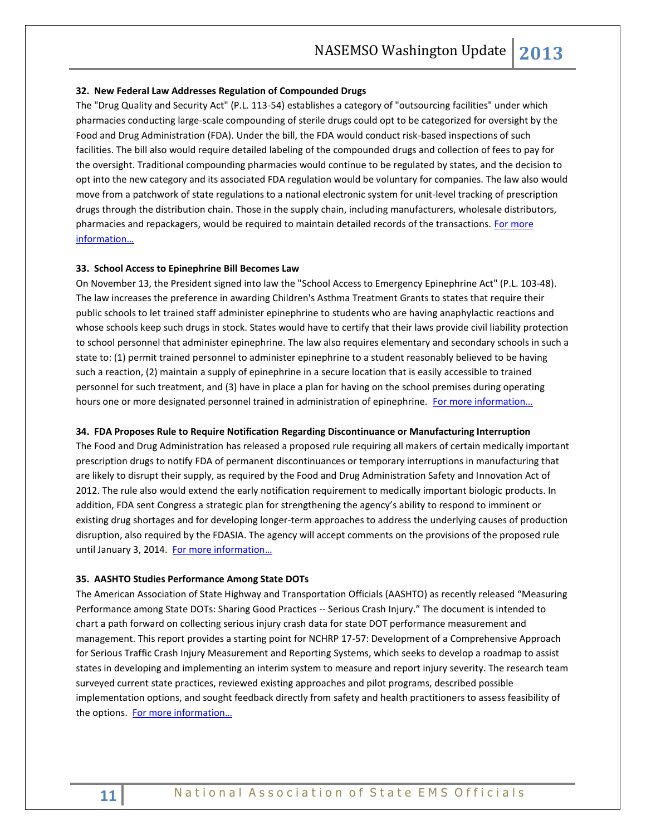#### **32. New Federal Law Addresses Regulation of Compounded Drugs**

The "Drug Quality and Security Act" (P.L. 113-54) establishes a category of "outsourcing facilities" under which pharmacies conducting large-scale compounding of sterile drugs could opt to be categorized for oversight by the Food and Drug Administration (FDA). Under the bill, the FDA would conduct risk-based inspections of such facilities. The bill also would require detailed labeling of the compounded drugs and collection of fees to pay for the oversight. Traditional compounding pharmacies would continue to be regulated by states, and the decision to opt into the new category and its associated FDA regulation would be voluntary for companies. The law also would move from a patchwork of state regulations to a national electronic system for unit-level tracking of prescription drugs through the distribution chain. Those in the supply chain, including manufacturers, wholesale distributors, pharmacies and repackagers, would be required to maintain detailed records of the transactions. For more [information…](http://beta.congress.gov/bill/113th-congress/house-bill/3204/text)

#### **33. School Access to Epinephrine Bill Becomes Law**

On November 13, the President signed into law the ["School Access to Emergency Epinephrine Act"](http://www.mmsend47.com/link.cfm?r=235034241&sid=28126764&m=3127808&u=NACCHO&j=15745859&s=https://www.govtrack.us/congress/bills/113/hr2094) (P.L. 103-48). The law increases the preference in awarding Children's Asthma Treatment Grants to states that require their public schools to let trained staff administer epinephrine to students who are having anaphylactic reactions and whose schools keep such drugs in stock. States would have to certify that their laws provide civil liability protection to school personnel that administer epinephrine. The law also requires elementary and secondary schools in such a state to: (1) permit trained personnel to administer epinephrine to a student reasonably believed to be having such a reaction, (2) maintain a supply of epinephrine in a secure location that is easily accessible to trained personnel for such treatment, and (3) have in place a plan for having on the school premises during operating hours one or more designated personnel trained in administration of epinephrine. For more information...

#### **34. FDA Proposes Rule to Require Notification Regarding Discontinuance or Manufacturing Interruption**

The Food and Drug Administration has released [a proposed rule](https://s3.amazonaws.com/public-inspection.federalregister.gov/2013-25956.pdf) requiring all makers of certain medically important prescription drugs to notify FDA of permanent discontinuances or temporary interruptions in manufacturing that are likely to disrupt their supply, as required by the Food and Drug Administration Safety and Innovation Act of 2012. The rule also would extend the early notification requirement to medically important biologic products. In addition, FDA sent Congress a [strategic plan](http://www.fda.gov/downloads/Drugs/DrugSafety/DrugShortages/UCM372566.pdf) for strengthening the agency's ability to respond to imminent or existing drug shortages and for developing longer-term approaches to address the underlying causes of production disruption, also required by the FDASIA. The agency will accept comments on the provisions of the proposed rule until January 3, 2014. [For more info](https://www.federalregister.gov/articles/2013/11/04/2013-25956/permanent-discontinuance-or-interruption-in-manufacturing-of-certain-drug-or-biological-products)rmation...

#### **35. AASHTO Studies Performance Among State DOTs**

The American Association of State Highway and Transportation Officials (AASHTO) as recently released "Measuring Performance among State DOTs: Sharing Good Practices -- Serious Crash Injury." The document is intended to chart a path forward on collecting serious injury crash data for state DOT performance measurement and management. This report provides a starting point for NCHRP 17-57: Development of a Comprehensive Approach for Serious Traffic Crash Injury Measurement and Reporting Systems, which seeks to develop a roadmap to assist states in developing and implementing an interim system to measure and report injury severity. The research team surveyed current state practices, reviewed existing approaches and pilot programs, described possible implementation options, and sought feedback directly from safety and health practitioners to assess feasibility of the options. [For more information…](http://onlinepubs.trb.org/onlinepubs/nchrp/docs/NCHRP20-24(37)K_FR.pdf)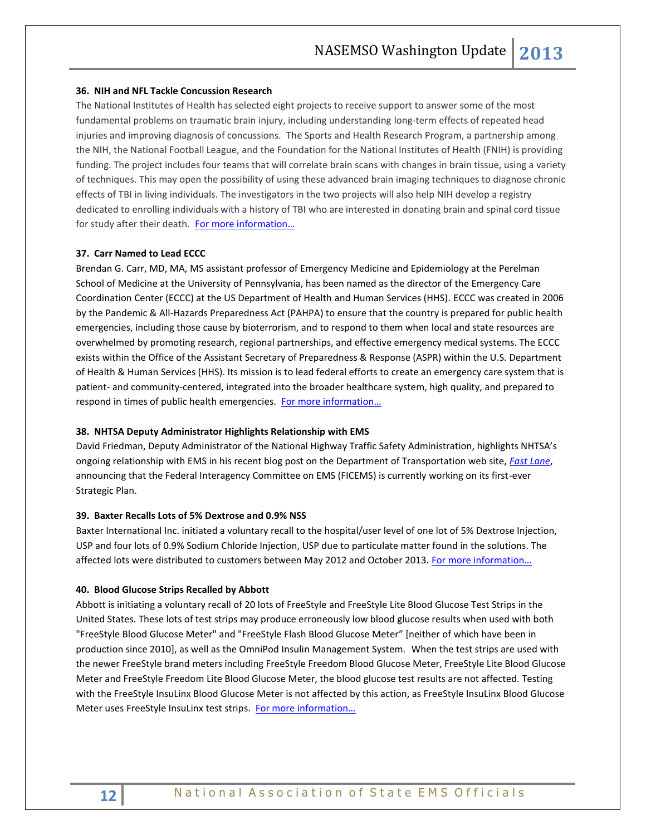#### **36. NIH and NFL Tackle Concussion Research**

The National Institutes of Health has selected eight projects to receive support to answer some of the most fundamental problems on traumatic brain injury, including understanding long-term effects of repeated head injuries and improving diagnosis of concussions. The Sports and Health Research Program, a partnership among the NIH, the National Football League, and the Foundation for the National Institutes of Health (FNIH) is providing funding. The project includes four teams that will correlate brain scans with changes in brain tissue, using a variety of techniques. This may open the possibility of using these advanced brain imaging techniques to diagnose chronic effects of TBI in living individuals. The investigators in the two projects will also help NIH develop a registry dedicated to enrolling individuals with a history of TBI who are interested in donating brain and spinal cord tissue for study after their death. For more information...

#### **37. Carr Named to Lead ECCC**

Brendan G. Carr, MD, MA, MS assistant professor of Emergency Medicine and Epidemiology at the Perelman School of Medicine at the University of Pennsylvania, has been named as the director of the Emergency Care Coordination Center (ECCC) at the US Department of Health and Human Services (HHS). ECCC was created in 2006 by the Pandemic & All-Hazards Preparedness Act (PAHPA) to ensure that the country is prepared for public health emergencies, including those cause by bioterrorism, and to respond to them when local and state resources are overwhelmed by promoting research, regional partnerships, and effective emergency medical systems. The ECCC exists within the Office of the Assistant Secretary of Preparedness & Response (ASPR) within the U.S. Department of Health & Human Services (HHS). Its mission is to lead federal efforts to create an emergency care system that is patient- and community-centered, integrated into the broader healthcare system, high quality, and prepared to respond in times of public health emergencies. For more information...

#### **38. NHTSA Deputy Administrator Highlights Relationship with EMS**

David Friedman, Deputy Administrator of the National Highway Traffic Safety Administration, highlights NHTSA's ongoing relationship with EMS in his recent blog post on the Department of Transportation web site, *[Fast Lane](http://www.dot.gov/fastlane/nhtsa-and-ems-lifesaving-collaboration)*, announcing that the Federal Interagency Committee on EMS (FICEMS) is currently working on its first-ever Strategic Plan.

#### **39. Baxter Recalls Lots of 5% Dextrose and 0.9% NSS**

Baxter International Inc. initiated a voluntary recall to the hospital/user level of one lot of 5% Dextrose Injection, USP and four lots of 0.9% Sodium Chloride Injection, USP due to particulate matter found in the solutions. The affected lots were distributed to customers between May 2012 and October 2013. For more information...

#### **40. Blood Glucose Strips Recalled by Abbott**

Abbott is initiating a voluntary recall of 20 lots of FreeStyle and FreeStyle Lite Blood Glucose Test Strips in the United States. These lots of test strips may produce erroneously low blood glucose results when used with both "FreeStyle Blood Glucose Meter" and "FreeStyle Flash Blood Glucose Meter" [neither of which have been in production since 2010], as well as the OmniPod Insulin Management System. When the test strips are used with the newer FreeStyle brand meters including FreeStyle Freedom Blood Glucose Meter, FreeStyle Lite Blood Glucose Meter and FreeStyle Freedom Lite Blood Glucose Meter, the blood glucose test results are not affected. Testing with the FreeStyle InsuLinx Blood Glucose Meter is not affected by this action, as FreeStyle InsuLinx Blood Glucose Meter uses FreeStyle InsuLinx test strips. For more information...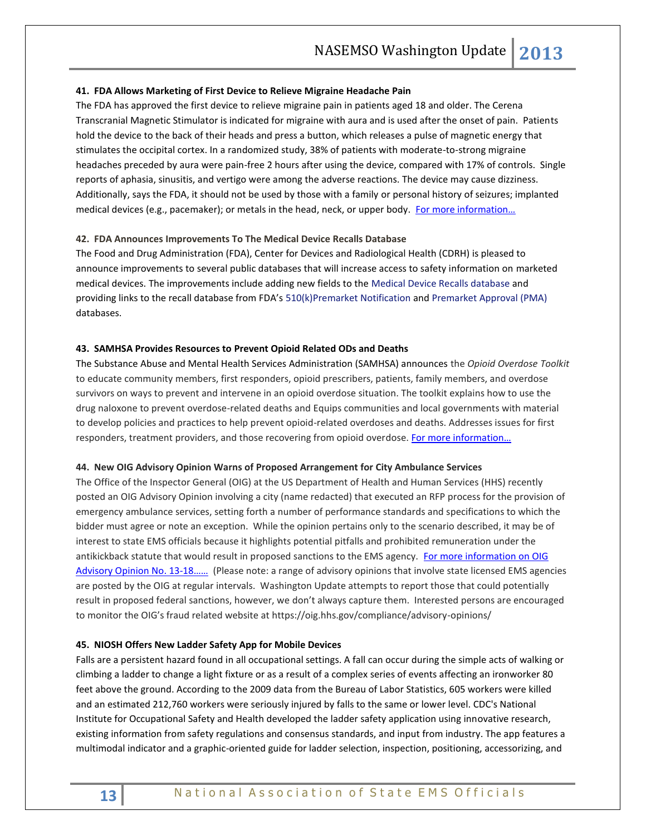#### **41. FDA Allows Marketing of First Device to Relieve Migraine Headache Pain**

The FDA has approved the first device to relieve migraine pain in patients aged 18 and older. The Cerena Transcranial Magnetic Stimulator is indicated for migraine with aura and is used after the onset of pain. Patients hold the device to the back of their heads and press a button, which releases a pulse of magnetic energy that stimulates the occipital cortex. In a randomized study, 38% of patients with moderate-to-strong migraine headaches preceded by aura were pain-free 2 hours after using the device, compared with 17% of controls. Single reports of aphasia, sinusitis, and vertigo were among the adverse reactions. The device may cause dizziness. Additionally, says the FDA, it should not be used by those with a family or personal history of seizures; implanted medical devices (e.g., pacemaker); or metals in the head, neck, or upper body. For more information...

#### **42. FDA Announces Improvements To The Medical Device Recalls Database**

The Food and Drug Administration (FDA), Center for Devices and Radiological Health (CDRH) is pleased to announce improvements to several public databases that will increase access to safety information on marketed medical devices. The improvements include adding new fields to the [Medical Device Recalls database](http://www.accessdata.fda.gov/scripts/cdrh/cfdocs/cfRES/res.cfm) and providing links to the recall database from FDA's [510\(k\)Premarket Notification](http://www.accessdata.fda.gov/scripts/cdrh/cfdocs/cfPMN/pmn.cfm) an[d Premarket Approval \(PMA\)](http://www.accessdata.fda.gov/scripts/cdrh/cfdocs/cfPMA/pma.cfm) databases.

#### **43. SAMHSA Provides Resources to Prevent Opioid Related ODs and Deaths**

The Substance Abuse and Mental Health Services Administration (SAMHSA) announces the *Opioid Overdose Toolkit* to educate community members, first responders, opioid prescribers, patients, family members, and overdose survivors on ways to prevent and intervene in an opioid overdose situation. The toolkit explains how to use the drug naloxone to prevent overdose-related deaths and Equips communities and local governments with material to develop policies and practices to help prevent opioid-related overdoses and deaths. Addresses issues for first responders, treatment providers, and those recovering from opioid overdose. For more information...

#### **44. New OIG Advisory Opinion Warns of Proposed Arrangement for City Ambulance Services**

The Office of the Inspector General (OIG) at the US Department of Health and Human Services (HHS) recently posted an OIG Advisory Opinion involving a city (name redacted) that executed an RFP process for the provision of emergency ambulance services, setting forth a number of performance standards and specifications to which the bidder must agree or note an exception. While the opinion pertains only to the scenario described, it may be of interest to state EMS officials because it highlights potential pitfalls and prohibited remuneration under the antikickback statute that would result in proposed sanctions to the EMS agency. [For more information on OIG](https://oig.hhs.gov/fraud/docs/advisoryopinions/2013/AdvOpn13-18.pdf)  [Advisory Opinion No. 13-](https://oig.hhs.gov/fraud/docs/advisoryopinions/2013/AdvOpn13-18.pdf)18…… (Please note: a range of advisory opinions that involve state licensed EMS agencies are posted by the OIG at regular intervals. Washington Update attempts to report those that could potentially result in proposed federal sanctions, however, we don't always capture them. Interested persons are encouraged to monitor the OIG's fraud related website at https://oig.hhs.gov/compliance/advisory-opinions/

#### **45. NIOSH Offers New Ladder Safety App for Mobile Devices**

Falls are a persistent hazard found in all occupational settings. A fall can occur during the simple acts of walking or climbing a ladder to change a light fixture or as a result of a complex series of events affecting an ironworker 80 feet above the ground. According to the 2009 data from the Bureau of Labor Statistics, 605 workers were killed and an estimated 212,760 workers were seriously injured by falls to the same or lower level. CDC's National Institute for Occupational Safety and Health developed the ladder safety application using innovative research, existing information from safety regulations and consensus standards, and input from industry. The app features a multimodal indicator and a graphic-oriented guide for ladder selection, inspection, positioning, accessorizing, and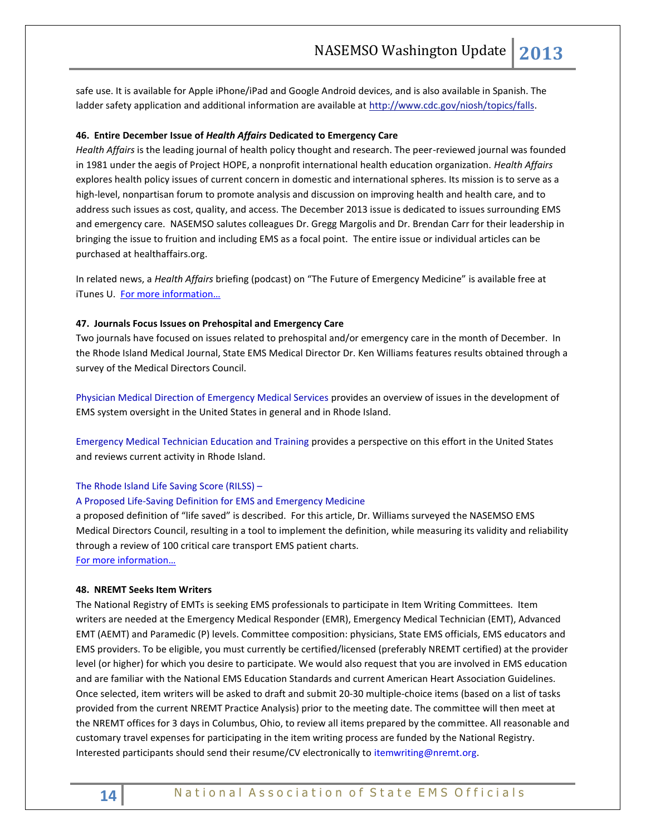safe use. It is available for Apple iPhone/iPad and Google Android devices, and is also available in Spanish. The ladder safety application and additional information are available at [http://www.cdc.gov/niosh/topics/falls.](http://www.cdc.gov/niosh/topics/falls)

#### **46. Entire December Issue of** *Health Affairs* **Dedicated to Emergency Care**

*Health Affairs* is the leading journal of health policy thought and research. The peer-reviewed journal was founded in 1981 under the aegis of Project HOPE, a nonprofit international health education organization. *Health Affairs* explores health policy issues of current concern in domestic and international spheres. Its mission is to serve as a high-level, nonpartisan forum to promote analysis and discussion on improving health and health care, and to address such issues as cost, quality, and access. The December 2013 issue is dedicated to issues surrounding EMS and emergency care. NASEMSO salutes colleagues Dr. Gregg Margolis and Dr. Brendan Carr for their leadership in bringing the issue to fruition and including EMS as a focal point. The entire issue or individual articles can be purchased at healthaffairs.org.

In related news, a *Health Affairs* briefing (podcast) on "The Future of Emergency Medicine" is available free at iTunes U. [For more information…](https://itunes.apple.com/us/podcast/future-emergency-medicine/id388437638?i=203486730&mt=2)

#### **47. Journals Focus Issues on Prehospital and Emergency Care**

Two journals have focused on issues related to prehospital and/or emergency care in the month of December. In the Rhode Island Medical Journal, State EMS Medical Director Dr. Ken Williams features results obtained through a survey of the Medical Directors Council.

Physician Medical Direction of Emergency Medical Services provides an overview of issues in the development of EMS system oversight in the United States in general and in Rhode Island.

Emergency Medical Technician Education and Training provides a perspective on this effort in the United States and reviews current activity in Rhode Island.

#### The Rhode Island Life Saving Score (RILSS) –

#### A Proposed Life-Saving Definition for EMS and Emergency Medicine

a proposed definition of "life saved" is described. For this article, Dr. Williams surveyed the NASEMSO EMS Medical Directors Council, resulting in a tool to implement the definition, while measuring its validity and reliability through a review of 100 critical care transport EMS patient charts. [For more information…](http://www.rimed.org/rimedicaljournal/2013-12/2013-12.pdf)

### **48. NREMT Seeks Item Writers**

The National Registry of EMTs is seeking EMS professionals to participate in Item Writing Committees. Item writers are needed at the Emergency Medical Responder (EMR), Emergency Medical Technician (EMT), Advanced EMT (AEMT) and Paramedic (P) levels. Committee composition: physicians, State EMS officials, EMS educators and EMS providers. To be eligible, you must currently be certified/licensed (preferably NREMT certified) at the provider level (or higher) for which you desire to participate. We would also request that you are involved in EMS education and are familiar with the National EMS Education Standards and current American Heart Association Guidelines. Once selected, item writers will be asked to draft and submit 20-30 multiple-choice items (based on a list of tasks provided from the current NREMT Practice Analysis) prior to the meeting date. The committee will then meet at the NREMT offices for 3 days in Columbus, Ohio, to review all items prepared by the committee. All reasonable and customary travel expenses for participating in the item writing process are funded by the National Registry. Interested participants should send their resume/CV electronically t[o itemwriting@nremt.org.](mailto:itemwriting@nremt.org)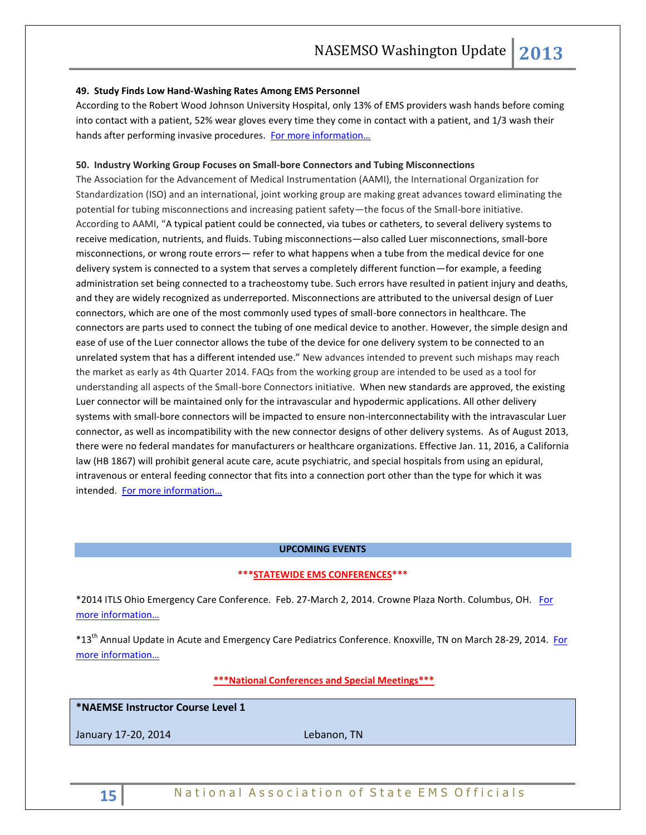#### **49. Study Finds Low Hand-Washing Rates Among EMS Personnel**

According to the Robert Wood Johnson University Hospital, only 13% of EMS providers wash hands before coming into contact with a patient, 52% wear gloves every time they come in contact with a patient, and 1/3 wash their hands after performing invasive procedures. For more information...

#### **50. Industry Working Group Focuses on Small-bore Connectors and Tubing Misconnections**

The Association for the Advancement of Medical Instrumentation (AAMI), the International Organization for Standardization (ISO) and an international, joint working group are making great advances toward eliminating the potential for tubing misconnections and increasing patient safety—the focus of the Small-bore initiative. According to AAMI, "A typical patient could be connected, via tubes or catheters, to several delivery systems to receive medication, nutrients, and fluids. Tubing misconnections—also called Luer misconnections, small-bore misconnections, or wrong route errors— refer to what happens when a tube from the medical device for one delivery system is connected to a system that serves a completely different function—for example, a feeding administration set being connected to a tracheostomy tube. Such errors have resulted in patient injury and deaths, and they are widely recognized as underreported. Misconnections are attributed to the universal design of Luer connectors, which are one of the most commonly used types of small-bore connectors in healthcare. The connectors are parts used to connect the tubing of one medical device to another. However, the simple design and ease of use of the Luer connector allows the tube of the device for one delivery system to be connected to an unrelated system that has a different intended use." New advances intended to prevent such mishaps may reach the market as early as 4th Quarter 2014. FAQs from the working group are intended to be used as a tool for understanding all aspects of the Small-bore Connectors initiative. When new standards are approved, the existing Luer connector will be maintained only for the intravascular and hypodermic applications. All other delivery systems with small-bore connectors will be impacted to ensure non-interconnectability with the intravascular Luer connector, as well as incompatibility with the new connector designs of other delivery systems. As of August 2013, there were no federal mandates for manufacturers or healthcare organizations. Effective Jan. 11, 2016, a California law (HB 1867) will prohibit general acute care, acute psychiatric, and special hospitals from using an epidural, intravenous or enteral feeding connector that fits into a connection port other than the type for which it was intended. [For more information…](http://www.aami.org/hottopics/connectors/Stay_Connected_10152013.pdf)

#### **UPCOMING EVENTS**

#### **\*\*\*STATEWIDE EMS CONFERENCES\*\*\***

\*2014 ITLS Ohio Emergency Care Conference. Feb. 27-March 2, 2014. Crowne Plaza North. Columbus, OH. [For](http://www.itraumaohio.org/aws/OACEP/pt/sp/itlsconference)  [more information…](http://www.itraumaohio.org/aws/OACEP/pt/sp/itlsconference)

\*13<sup>th</sup> Annual Update in Acute and Emergency Care Pediatrics Conference. Knoxville, TN on March 28-29, 2014. For [more information…](http://www.etsu.edu/com/cme/PEM2014.aspx.)

#### **\*\*\*National Conferences and Special Meetings\*\*\***

#### **\*NAEMSE Instructor Course Level 1**

January 17-20, 2014 **Lebanon**, TN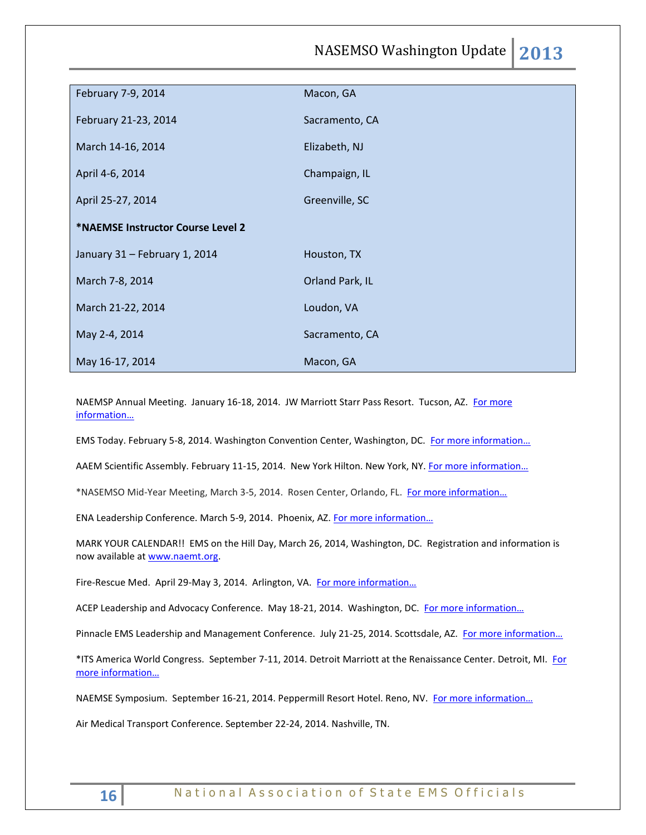NASEMSO Washington Update **2013**

| February 7-9, 2014                | Macon, GA       |
|-----------------------------------|-----------------|
| February 21-23, 2014              | Sacramento, CA  |
| March 14-16, 2014                 | Elizabeth, NJ   |
| April 4-6, 2014                   | Champaign, IL   |
| April 25-27, 2014                 | Greenville, SC  |
| *NAEMSE Instructor Course Level 2 |                 |
| January 31 - February 1, 2014     | Houston, TX     |
| March 7-8, 2014                   | Orland Park, IL |
| March 21-22, 2014                 | Loudon, VA      |
| May 2-4, 2014                     | Sacramento, CA  |
| May 16-17, 2014                   | Macon, GA       |

NAEMSP Annual Meeting. January 16-18, 2014. JW Marriott Starr Pass Resort. Tucson, AZ. For more [information…](http://www.naemsp.org/Pages/Annual-Meeting.aspx)

EMS Today. February 5-8, 2014. Washington Convention Center, Washington, DC. For more information...

AAEM Scientific Assembly. February 11-15, 2014. New York Hilton. New York, NY. For more information...

\*NASEMSO Mid-Year Meeting, March 3-5, 2014. Rosen Center, Orlando, FL. For more information...

ENA Leadership Conference. March 5-9, 2014. Phoenix, AZ. For more information...

MARK YOUR CALENDAR!! EMS on the Hill Day, March 26, 2014, Washington, DC. Registration and information is now available a[t www.naemt.org.](http://www.naemt.org/)

Fire-Rescue Med. April 29-May 3, 2014. Arlington, VA. For more information...

ACEP Leadership and Advocacy Conference. May 18-21, 2014. Washington, DC. For more information...

Pinnacle EMS Leadership and Management Conference. July 21-25, 2014. Scottsdale, AZ. [For more information…](http://pinnacle-ems.com/)

\*ITS America World Congress. September 7-11, 2014. Detroit Marriott at the Renaissance Center. Detroit, MI. [For](http://itsworldcongress.org/)  [more information…](http://itsworldcongress.org/)

NAEMSE Symposium. September 16-21, 2014. Peppermill Resort Hotel. Reno, NV. For more information...

Air Medical Transport Conference. September 22-24, 2014. Nashville, TN.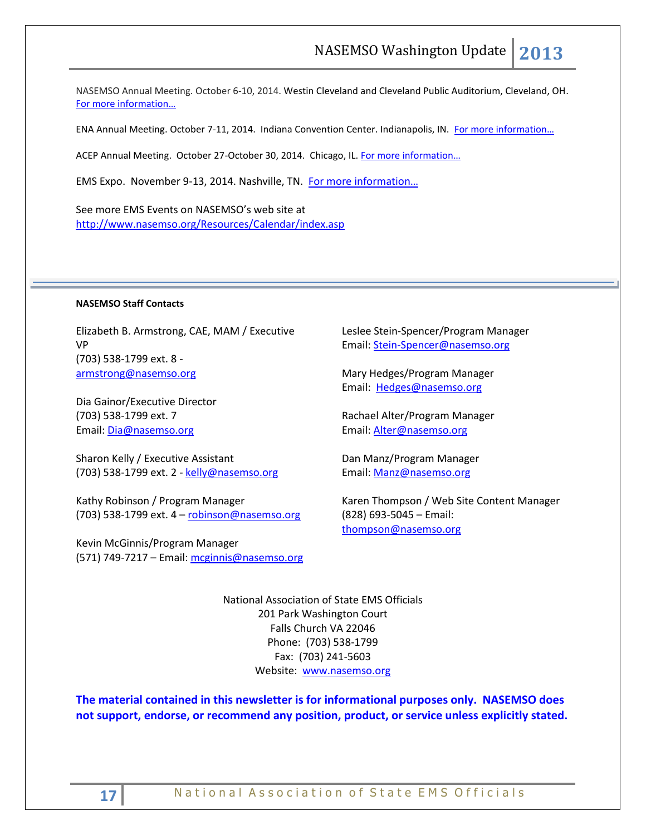NASEMSO Annual Meeting. October 6-10, 2014. Westin Cleveland and Cleveland Public Auditorium, Cleveland, OH. [For more information…](http://www.nasemso.org/Meetings/Annual/AnnualMeeting2014.asp)

ENA Annual Meeting. October 7-11, 2014. Indiana Convention Center. Indianapolis, IN. [For more information…](http://www.ena.org/education/conferences/Pages/default.aspx)

ACEP Annual Meeting. October 27-October 30, 2014. Chicago, IL. For more information...

EMS Expo. November 9-13, 2014. Nashville, TN. [For more information…](http://emsworldexpo.com/)

See more EMS Events on NASEMSO's web site at <http://www.nasemso.org/Resources/Calendar/index.asp>

#### **NASEMSO Staff Contacts**

Elizabeth B. Armstrong, CAE, MAM / Executive VP (703) 538-1799 ext. 8 [armstrong@nasemso.org](mailto:armstrong@nasemso.org)

Dia Gainor/Executive Director (703) 538-1799 ext. 7 Email: [Dia@nasemso.org](mailto:Dia@nasemso.org)

Sharon Kelly / Executive Assistant (703) 538-1799 ext. 2 - [kelly@nasemso.org](mailto:kelly@nasemso.org)

Kathy Robinson / Program Manager (703) 538-1799 ext. 4 – [robinson@nasemso.org](mailto:robinson@nasemso.org)

Kevin McGinnis/Program Manager (571) 749-7217 - Email[: mcginnis@nasemso.org](mailto:mcginnis@nasemso.org) Leslee Stein-Spencer/Program Manager Email: [Stein-Spencer@nasemso.org](mailto:Stein-Spencer@nasemso.org)

Mary Hedges/Program Manager Email: [Hedges@nasemso.org](mailto:Hedges@nasemso.org)

Rachael Alter/Program Manager Email: [Alter@nasemso.org](mailto:Alter@nasemso.org) 

Dan Manz/Program Manager Email: [Manz@nasemso.org](mailto:Manz@nasemso.org)

Karen Thompson / Web Site Content Manager (828) 693-5045 – Email: [thompson@nasemso.org](mailto:thompson@nasemso.org)

National Association of State EMS Officials 201 Park Washington Court Falls Church VA 22046 Phone: (703) 538-1799 Fax: (703) 241-5603 Website: [www.nasemso.org](http://www.nasemso.org/)

**The material contained in this newsletter is for informational purposes only. NASEMSO does not support, endorse, or recommend any position, product, or service unless explicitly stated.**